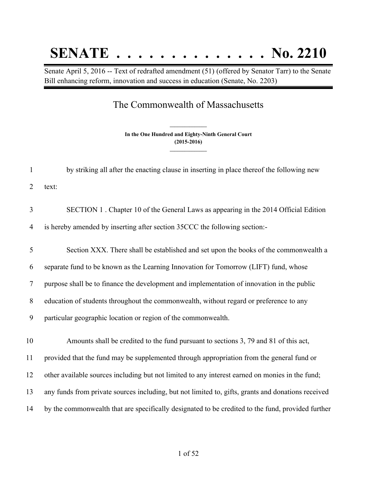# **SENATE . . . . . . . . . . . . . . No. 2210**

Senate April 5, 2016 -- Text of redrafted amendment (51) (offered by Senator Tarr) to the Senate Bill enhancing reform, innovation and success in education (Senate, No. 2203)

# The Commonwealth of Massachusetts

**In the One Hundred and Eighty-Ninth General Court (2015-2016) \_\_\_\_\_\_\_\_\_\_\_\_\_\_\_**

**\_\_\_\_\_\_\_\_\_\_\_\_\_\_\_**

| $\mathbf{1}$   | by striking all after the enacting clause in inserting in place thereof the following new          |
|----------------|----------------------------------------------------------------------------------------------------|
| 2              | text:                                                                                              |
| 3              | SECTION 1. Chapter 10 of the General Laws as appearing in the 2014 Official Edition                |
| $\overline{4}$ | is hereby amended by inserting after section 35CCC the following section:-                         |
| 5              | Section XXX. There shall be established and set upon the books of the commonwealth a               |
| 6              | separate fund to be known as the Learning Innovation for Tomorrow (LIFT) fund, whose               |
| $\tau$         | purpose shall be to finance the development and implementation of innovation in the public         |
| 8              | education of students throughout the commonwealth, without regard or preference to any             |
| 9              | particular geographic location or region of the commonwealth.                                      |
| 10             | Amounts shall be credited to the fund pursuant to sections 3, 79 and 81 of this act,               |
| 11             | provided that the fund may be supplemented through appropriation from the general fund or          |
| 12             | other available sources including but not limited to any interest earned on monies in the fund;    |
| 13             | any funds from private sources including, but not limited to, gifts, grants and donations received |
| 14             | by the commonwealth that are specifically designated to be credited to the fund, provided further  |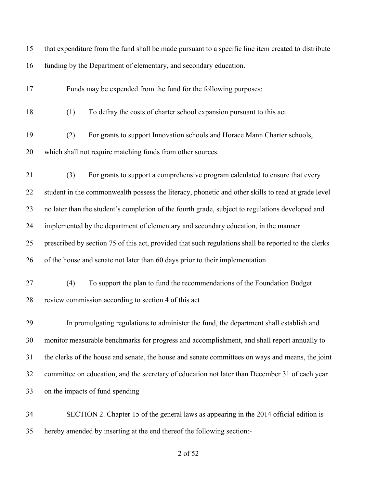| 15 | that expenditure from the fund shall be made pursuant to a specific line item created to distribute  |
|----|------------------------------------------------------------------------------------------------------|
| 16 | funding by the Department of elementary, and secondary education.                                    |
| 17 | Funds may be expended from the fund for the following purposes:                                      |
| 18 | To defray the costs of charter school expansion pursuant to this act.<br>(1)                         |
| 19 | For grants to support Innovation schools and Horace Mann Charter schools,<br>(2)                     |
| 20 | which shall not require matching funds from other sources.                                           |
| 21 | For grants to support a comprehensive program calculated to ensure that every<br>(3)                 |
| 22 | student in the commonwealth possess the literacy, phonetic and other skills to read at grade level   |
| 23 | no later than the student's completion of the fourth grade, subject to regulations developed and     |
| 24 | implemented by the department of elementary and secondary education, in the manner                   |
| 25 | prescribed by section 75 of this act, provided that such regulations shall be reported to the clerks |
| 26 | of the house and senate not later than 60 days prior to their implementation                         |
| 27 | To support the plan to fund the recommendations of the Foundation Budget<br>(4)                      |
| 28 | review commission according to section 4 of this act                                                 |
| 29 | In promulgating regulations to administer the fund, the department shall establish and               |
| 30 | monitor measurable benchmarks for progress and accomplishment, and shall report annually to          |
| 31 | the clerks of the house and senate, the house and senate committees on ways and means, the joint     |
| 32 | committee on education, and the secretary of education not later than December 31 of each year       |
| 33 | on the impacts of fund spending                                                                      |
| 34 | SECTION 2. Chapter 15 of the general laws as appearing in the 2014 official edition is               |
| 35 | hereby amended by inserting at the end thereof the following section:-                               |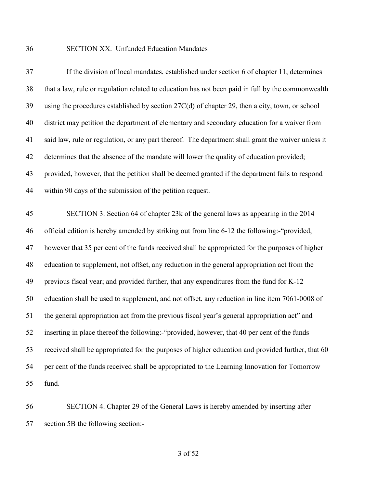## SECTION XX. Unfunded Education Mandates

| 37 | If the division of local mandates, established under section 6 of chapter 11, determines           |
|----|----------------------------------------------------------------------------------------------------|
| 38 | that a law, rule or regulation related to education has not been paid in full by the commonwealth  |
| 39 | using the procedures established by section 27C(d) of chapter 29, then a city, town, or school     |
| 40 | district may petition the department of elementary and secondary education for a waiver from       |
| 41 | said law, rule or regulation, or any part thereof. The department shall grant the waiver unless it |
| 42 | determines that the absence of the mandate will lower the quality of education provided;           |
| 43 | provided, however, that the petition shall be deemed granted if the department fails to respond    |
| 44 | within 90 days of the submission of the petition request.                                          |
| 45 | SECTION 3. Section 64 of chapter 23k of the general laws as appearing in the 2014                  |
| 46 | official edition is hereby amended by striking out from line 6-12 the following:-"provided,        |
| 47 | however that 35 per cent of the funds received shall be appropriated for the purposes of higher    |
| 48 | education to supplement, not offset, any reduction in the general appropriation act from the       |
| 49 | previous fiscal year; and provided further, that any expenditures from the fund for K-12           |
| 50 | education shall be used to supplement, and not offset, any reduction in line item 7061-0008 of     |
| 51 | the general appropriation act from the previous fiscal year's general appropriation act" and       |
| 52 | inserting in place thereof the following:-"provided, however, that 40 per cent of the funds        |
| 53 | received shall be appropriated for the purposes of higher education and provided further, that 60  |
| 54 | per cent of the funds received shall be appropriated to the Learning Innovation for Tomorrow       |
| 55 | fund.                                                                                              |

 SECTION 4. Chapter 29 of the General Laws is hereby amended by inserting after section 5B the following section:-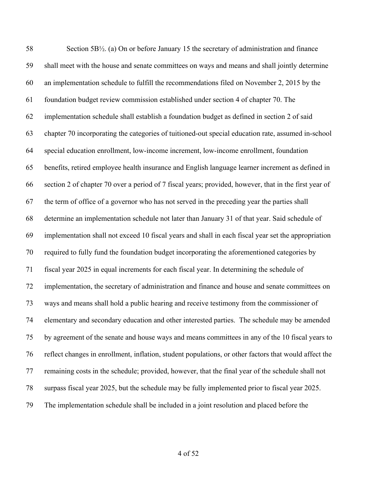Section 5B½. (a) On or before January 15 the secretary of administration and finance shall meet with the house and senate committees on ways and means and shall jointly determine an implementation schedule to fulfill the recommendations filed on November 2, 2015 by the foundation budget review commission established under section 4 of chapter 70. The implementation schedule shall establish a foundation budget as defined in section 2 of said chapter 70 incorporating the categories of tuitioned-out special education rate, assumed in-school special education enrollment, low-income increment, low-income enrollment, foundation benefits, retired employee health insurance and English language learner increment as defined in section 2 of chapter 70 over a period of 7 fiscal years; provided, however, that in the first year of the term of office of a governor who has not served in the preceding year the parties shall determine an implementation schedule not later than January 31 of that year. Said schedule of implementation shall not exceed 10 fiscal years and shall in each fiscal year set the appropriation required to fully fund the foundation budget incorporating the aforementioned categories by fiscal year 2025 in equal increments for each fiscal year. In determining the schedule of implementation, the secretary of administration and finance and house and senate committees on ways and means shall hold a public hearing and receive testimony from the commissioner of elementary and secondary education and other interested parties. The schedule may be amended by agreement of the senate and house ways and means committees in any of the 10 fiscal years to reflect changes in enrollment, inflation, student populations, or other factors that would affect the remaining costs in the schedule; provided, however, that the final year of the schedule shall not surpass fiscal year 2025, but the schedule may be fully implemented prior to fiscal year 2025. The implementation schedule shall be included in a joint resolution and placed before the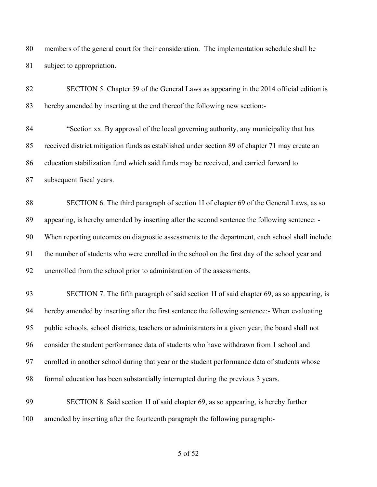members of the general court for their consideration. The implementation schedule shall be subject to appropriation.

| 82  | SECTION 5. Chapter 59 of the General Laws as appearing in the 2014 official edition is            |
|-----|---------------------------------------------------------------------------------------------------|
| 83  | hereby amended by inserting at the end thereof the following new section:-                        |
| 84  | "Section xx. By approval of the local governing authority, any municipality that has              |
| 85  | received district mitigation funds as established under section 89 of chapter 71 may create an    |
| 86  | education stabilization fund which said funds may be received, and carried forward to             |
| 87  | subsequent fiscal years.                                                                          |
| 88  | SECTION 6. The third paragraph of section 1I of chapter 69 of the General Laws, as so             |
| 89  | appearing, is hereby amended by inserting after the second sentence the following sentence: -     |
| 90  | When reporting outcomes on diagnostic assessments to the department, each school shall include    |
| 91  | the number of students who were enrolled in the school on the first day of the school year and    |
| 92  | unenrolled from the school prior to administration of the assessments.                            |
| 93  | SECTION 7. The fifth paragraph of said section 1I of said chapter 69, as so appearing, is         |
| 94  | hereby amended by inserting after the first sentence the following sentence:- When evaluating     |
| 95  | public schools, school districts, teachers or administrators in a given year, the board shall not |
| 96  | consider the student performance data of students who have withdrawn from 1 school and            |
| 97  | enrolled in another school during that year or the student performance data of students whose     |
| 98  | formal education has been substantially interrupted during the previous 3 years.                  |
| 99  | SECTION 8. Said section 1I of said chapter 69, as so appearing, is hereby further                 |
| 100 | amended by inserting after the fourteenth paragraph the following paragraph:-                     |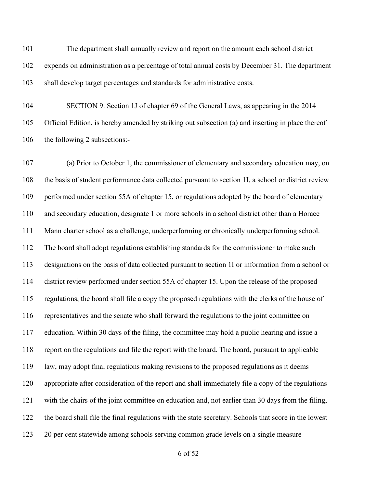The department shall annually review and report on the amount each school district expends on administration as a percentage of total annual costs by December 31. The department shall develop target percentages and standards for administrative costs.

 SECTION 9. Section 1J of chapter 69 of the General Laws, as appearing in the 2014 Official Edition, is hereby amended by striking out subsection (a) and inserting in place thereof the following 2 subsections:-

 (a) Prior to October 1, the commissioner of elementary and secondary education may, on the basis of student performance data collected pursuant to section 1I, a school or district review performed under section 55A of chapter 15, or regulations adopted by the board of elementary and secondary education, designate 1 or more schools in a school district other than a Horace Mann charter school as a challenge, underperforming or chronically underperforming school. The board shall adopt regulations establishing standards for the commissioner to make such designations on the basis of data collected pursuant to section 1I or information from a school or district review performed under section 55A of chapter 15. Upon the release of the proposed regulations, the board shall file a copy the proposed regulations with the clerks of the house of representatives and the senate who shall forward the regulations to the joint committee on education. Within 30 days of the filing, the committee may hold a public hearing and issue a report on the regulations and file the report with the board. The board, pursuant to applicable law, may adopt final regulations making revisions to the proposed regulations as it deems appropriate after consideration of the report and shall immediately file a copy of the regulations with the chairs of the joint committee on education and, not earlier than 30 days from the filing, the board shall file the final regulations with the state secretary. Schools that score in the lowest 20 per cent statewide among schools serving common grade levels on a single measure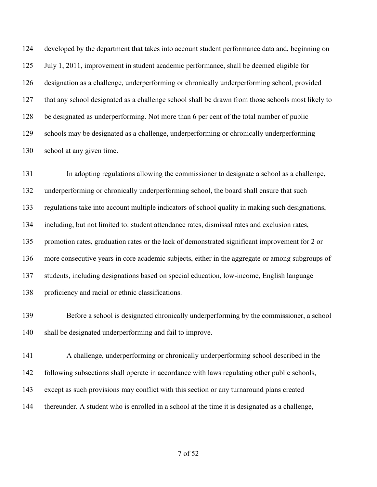developed by the department that takes into account student performance data and, beginning on July 1, 2011, improvement in student academic performance, shall be deemed eligible for designation as a challenge, underperforming or chronically underperforming school, provided that any school designated as a challenge school shall be drawn from those schools most likely to be designated as underperforming. Not more than 6 per cent of the total number of public schools may be designated as a challenge, underperforming or chronically underperforming school at any given time.

 In adopting regulations allowing the commissioner to designate a school as a challenge, underperforming or chronically underperforming school, the board shall ensure that such regulations take into account multiple indicators of school quality in making such designations, including, but not limited to: student attendance rates, dismissal rates and exclusion rates, promotion rates, graduation rates or the lack of demonstrated significant improvement for 2 or more consecutive years in core academic subjects, either in the aggregate or among subgroups of students, including designations based on special education, low-income, English language proficiency and racial or ethnic classifications.

 Before a school is designated chronically underperforming by the commissioner, a school shall be designated underperforming and fail to improve.

 A challenge, underperforming or chronically underperforming school described in the following subsections shall operate in accordance with laws regulating other public schools, except as such provisions may conflict with this section or any turnaround plans created thereunder. A student who is enrolled in a school at the time it is designated as a challenge,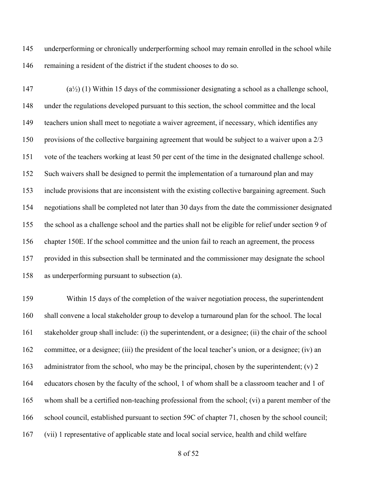underperforming or chronically underperforming school may remain enrolled in the school while remaining a resident of the district if the student chooses to do so.

 (a½) (1) Within 15 days of the commissioner designating a school as a challenge school, under the regulations developed pursuant to this section, the school committee and the local teachers union shall meet to negotiate a waiver agreement, if necessary, which identifies any provisions of the collective bargaining agreement that would be subject to a waiver upon a 2/3 vote of the teachers working at least 50 per cent of the time in the designated challenge school. Such waivers shall be designed to permit the implementation of a turnaround plan and may include provisions that are inconsistent with the existing collective bargaining agreement. Such negotiations shall be completed not later than 30 days from the date the commissioner designated the school as a challenge school and the parties shall not be eligible for relief under section 9 of chapter 150E. If the school committee and the union fail to reach an agreement, the process provided in this subsection shall be terminated and the commissioner may designate the school as underperforming pursuant to subsection (a).

 Within 15 days of the completion of the waiver negotiation process, the superintendent shall convene a local stakeholder group to develop a turnaround plan for the school. The local stakeholder group shall include: (i) the superintendent, or a designee; (ii) the chair of the school committee, or a designee; (iii) the president of the local teacher's union, or a designee; (iv) an 163 administrator from the school, who may be the principal, chosen by the superintendent; (v) 2 educators chosen by the faculty of the school, 1 of whom shall be a classroom teacher and 1 of whom shall be a certified non-teaching professional from the school; (vi) a parent member of the 166 school council, established pursuant to section 59C of chapter 71, chosen by the school council; (vii) 1 representative of applicable state and local social service, health and child welfare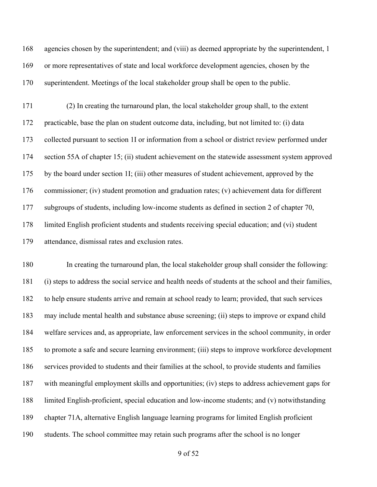agencies chosen by the superintendent; and (viii) as deemed appropriate by the superintendent, 1 or more representatives of state and local workforce development agencies, chosen by the superintendent. Meetings of the local stakeholder group shall be open to the public.

 (2) In creating the turnaround plan, the local stakeholder group shall, to the extent practicable, base the plan on student outcome data, including, but not limited to: (i) data collected pursuant to section 1I or information from a school or district review performed under section 55A of chapter 15; (ii) student achievement on the statewide assessment system approved by the board under section 1I; (iii) other measures of student achievement, approved by the commissioner; (iv) student promotion and graduation rates; (v) achievement data for different subgroups of students, including low-income students as defined in section 2 of chapter 70, limited English proficient students and students receiving special education; and (vi) student attendance, dismissal rates and exclusion rates.

 In creating the turnaround plan, the local stakeholder group shall consider the following: (i) steps to address the social service and health needs of students at the school and their families, to help ensure students arrive and remain at school ready to learn; provided, that such services may include mental health and substance abuse screening; (ii) steps to improve or expand child welfare services and, as appropriate, law enforcement services in the school community, in order to promote a safe and secure learning environment; (iii) steps to improve workforce development services provided to students and their families at the school, to provide students and families with meaningful employment skills and opportunities; (iv) steps to address achievement gaps for limited English-proficient, special education and low-income students; and (v) notwithstanding chapter 71A, alternative English language learning programs for limited English proficient students. The school committee may retain such programs after the school is no longer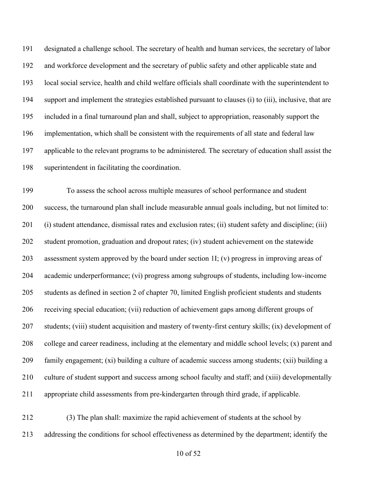designated a challenge school. The secretary of health and human services, the secretary of labor and workforce development and the secretary of public safety and other applicable state and local social service, health and child welfare officials shall coordinate with the superintendent to support and implement the strategies established pursuant to clauses (i) to (iii), inclusive, that are included in a final turnaround plan and shall, subject to appropriation, reasonably support the implementation, which shall be consistent with the requirements of all state and federal law applicable to the relevant programs to be administered. The secretary of education shall assist the superintendent in facilitating the coordination.

 To assess the school across multiple measures of school performance and student success, the turnaround plan shall include measurable annual goals including, but not limited to: (i) student attendance, dismissal rates and exclusion rates; (ii) student safety and discipline; (iii) student promotion, graduation and dropout rates; (iv) student achievement on the statewide assessment system approved by the board under section 1I; (v) progress in improving areas of academic underperformance; (vi) progress among subgroups of students, including low-income students as defined in section 2 of chapter 70, limited English proficient students and students receiving special education; (vii) reduction of achievement gaps among different groups of students; (viii) student acquisition and mastery of twenty-first century skills; (ix) development of college and career readiness, including at the elementary and middle school levels; (x) parent and family engagement; (xi) building a culture of academic success among students; (xii) building a culture of student support and success among school faculty and staff; and (xiii) developmentally appropriate child assessments from pre-kindergarten through third grade, if applicable.

 (3) The plan shall: maximize the rapid achievement of students at the school by addressing the conditions for school effectiveness as determined by the department; identify the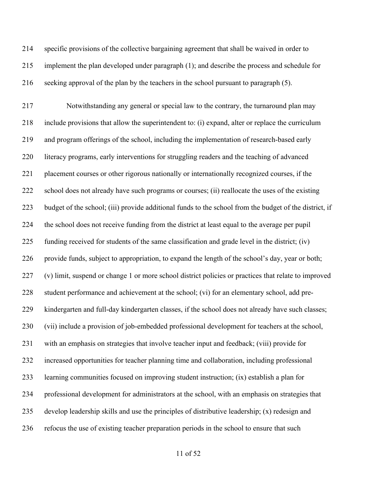specific provisions of the collective bargaining agreement that shall be waived in order to implement the plan developed under paragraph (1); and describe the process and schedule for seeking approval of the plan by the teachers in the school pursuant to paragraph (5).

 Notwithstanding any general or special law to the contrary, the turnaround plan may include provisions that allow the superintendent to: (i) expand, alter or replace the curriculum and program offerings of the school, including the implementation of research-based early literacy programs, early interventions for struggling readers and the teaching of advanced placement courses or other rigorous nationally or internationally recognized courses, if the school does not already have such programs or courses; (ii) reallocate the uses of the existing budget of the school; (iii) provide additional funds to the school from the budget of the district, if the school does not receive funding from the district at least equal to the average per pupil funding received for students of the same classification and grade level in the district; (iv) provide funds, subject to appropriation, to expand the length of the school's day, year or both; (v) limit, suspend or change 1 or more school district policies or practices that relate to improved student performance and achievement at the school; (vi) for an elementary school, add pre- kindergarten and full-day kindergarten classes, if the school does not already have such classes; (vii) include a provision of job-embedded professional development for teachers at the school, with an emphasis on strategies that involve teacher input and feedback; (viii) provide for increased opportunities for teacher planning time and collaboration, including professional learning communities focused on improving student instruction; (ix) establish a plan for professional development for administrators at the school, with an emphasis on strategies that develop leadership skills and use the principles of distributive leadership; (x) redesign and refocus the use of existing teacher preparation periods in the school to ensure that such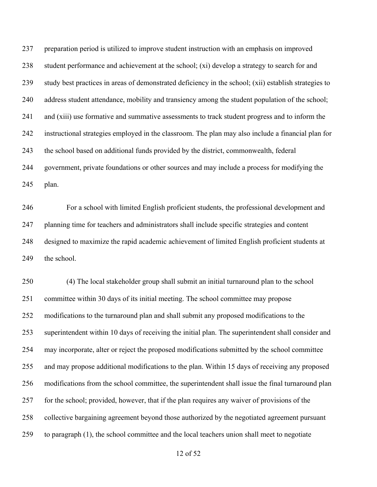preparation period is utilized to improve student instruction with an emphasis on improved student performance and achievement at the school; (xi) develop a strategy to search for and study best practices in areas of demonstrated deficiency in the school; (xii) establish strategies to address student attendance, mobility and transiency among the student population of the school; and (xiii) use formative and summative assessments to track student progress and to inform the instructional strategies employed in the classroom. The plan may also include a financial plan for the school based on additional funds provided by the district, commonwealth, federal government, private foundations or other sources and may include a process for modifying the plan.

 For a school with limited English proficient students, the professional development and planning time for teachers and administrators shall include specific strategies and content designed to maximize the rapid academic achievement of limited English proficient students at 249 the school.

 (4) The local stakeholder group shall submit an initial turnaround plan to the school committee within 30 days of its initial meeting. The school committee may propose modifications to the turnaround plan and shall submit any proposed modifications to the superintendent within 10 days of receiving the initial plan. The superintendent shall consider and may incorporate, alter or reject the proposed modifications submitted by the school committee and may propose additional modifications to the plan. Within 15 days of receiving any proposed modifications from the school committee, the superintendent shall issue the final turnaround plan for the school; provided, however, that if the plan requires any waiver of provisions of the collective bargaining agreement beyond those authorized by the negotiated agreement pursuant to paragraph (1), the school committee and the local teachers union shall meet to negotiate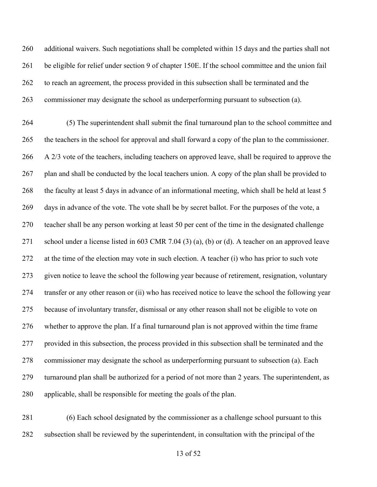additional waivers. Such negotiations shall be completed within 15 days and the parties shall not be eligible for relief under section 9 of chapter 150E. If the school committee and the union fail to reach an agreement, the process provided in this subsection shall be terminated and the commissioner may designate the school as underperforming pursuant to subsection (a).

 (5) The superintendent shall submit the final turnaround plan to the school committee and the teachers in the school for approval and shall forward a copy of the plan to the commissioner. A 2/3 vote of the teachers, including teachers on approved leave, shall be required to approve the plan and shall be conducted by the local teachers union. A copy of the plan shall be provided to the faculty at least 5 days in advance of an informational meeting, which shall be held at least 5 days in advance of the vote. The vote shall be by secret ballot. For the purposes of the vote, a teacher shall be any person working at least 50 per cent of the time in the designated challenge school under a license listed in 603 CMR 7.04 (3) (a), (b) or (d). A teacher on an approved leave at the time of the election may vote in such election. A teacher (i) who has prior to such vote given notice to leave the school the following year because of retirement, resignation, voluntary transfer or any other reason or (ii) who has received notice to leave the school the following year because of involuntary transfer, dismissal or any other reason shall not be eligible to vote on whether to approve the plan. If a final turnaround plan is not approved within the time frame provided in this subsection, the process provided in this subsection shall be terminated and the commissioner may designate the school as underperforming pursuant to subsection (a). Each turnaround plan shall be authorized for a period of not more than 2 years. The superintendent, as applicable, shall be responsible for meeting the goals of the plan.

 (6) Each school designated by the commissioner as a challenge school pursuant to this subsection shall be reviewed by the superintendent, in consultation with the principal of the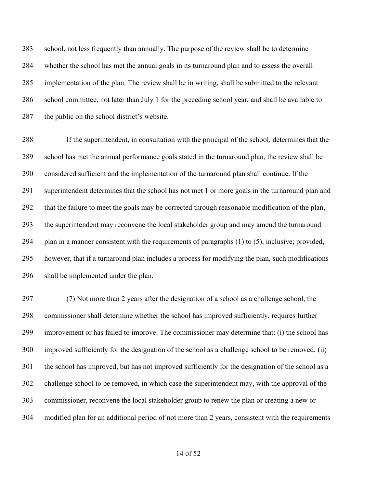school, not less frequently than annually. The purpose of the review shall be to determine whether the school has met the annual goals in its turnaround plan and to assess the overall implementation of the plan. The review shall be in writing, shall be submitted to the relevant school committee, not later than July 1 for the preceding school year, and shall be available to the public on the school district's website.

 If the superintendent, in consultation with the principal of the school, determines that the school has met the annual performance goals stated in the turnaround plan, the review shall be considered sufficient and the implementation of the turnaround plan shall continue. If the superintendent determines that the school has not met 1 or more goals in the turnaround plan and that the failure to meet the goals may be corrected through reasonable modification of the plan, the superintendent may reconvene the local stakeholder group and may amend the turnaround plan in a manner consistent with the requirements of paragraphs (1) to (5), inclusive; provided, however, that if a turnaround plan includes a process for modifying the plan, such modifications shall be implemented under the plan.

 (7) Not more than 2 years after the designation of a school as a challenge school, the commissioner shall determine whether the school has improved sufficiently, requires further improvement or has failed to improve. The commissioner may determine that: (i) the school has improved sufficiently for the designation of the school as a challenge school to be removed; (ii) the school has improved, but has not improved sufficiently for the designation of the school as a challenge school to be removed, in which case the superintendent may, with the approval of the commissioner, reconvene the local stakeholder group to renew the plan or creating a new or modified plan for an additional period of not more than 2 years, consistent with the requirements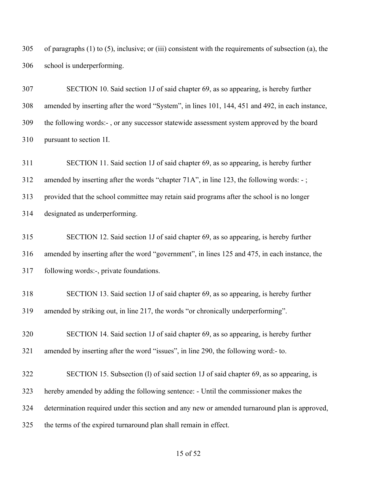of paragraphs (1) to (5), inclusive; or (iii) consistent with the requirements of subsection (a), the school is underperforming.

 SECTION 10. Said section 1J of said chapter 69, as so appearing, is hereby further amended by inserting after the word "System", in lines 101, 144, 451 and 492, in each instance, the following words:- , or any successor statewide assessment system approved by the board pursuant to section 1I.

 SECTION 11. Said section 1J of said chapter 69, as so appearing, is hereby further amended by inserting after the words "chapter 71A", in line 123, the following words: - ; provided that the school committee may retain said programs after the school is no longer designated as underperforming.

 SECTION 12. Said section 1J of said chapter 69, as so appearing, is hereby further amended by inserting after the word "government", in lines 125 and 475, in each instance, the following words:-, private foundations.

 SECTION 13. Said section 1J of said chapter 69, as so appearing, is hereby further amended by striking out, in line 217, the words "or chronically underperforming".

 SECTION 14. Said section 1J of said chapter 69, as so appearing, is hereby further amended by inserting after the word "issues", in line 290, the following word:- to.

 SECTION 15. Subsection (l) of said section 1J of said chapter 69, as so appearing, is hereby amended by adding the following sentence: - Until the commissioner makes the determination required under this section and any new or amended turnaround plan is approved, the terms of the expired turnaround plan shall remain in effect.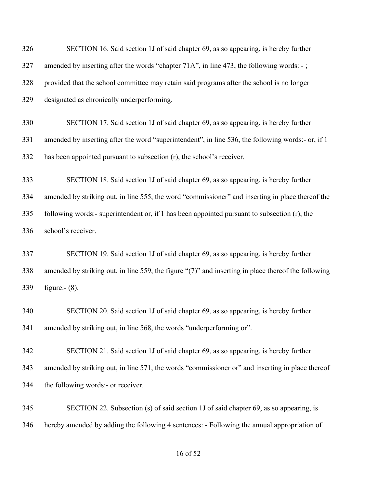| 326 | SECTION 16. Said section 1J of said chapter 69, as so appearing, is hereby further                      |
|-----|---------------------------------------------------------------------------------------------------------|
| 327 | amended by inserting after the words "chapter 71A", in line 473, the following words: -;                |
| 328 | provided that the school committee may retain said programs after the school is no longer               |
| 329 | designated as chronically underperforming.                                                              |
| 330 | SECTION 17. Said section 1J of said chapter 69, as so appearing, is hereby further                      |
| 331 | amended by inserting after the word "superintendent", in line 536, the following words:- or, if 1       |
| 332 | has been appointed pursuant to subsection (r), the school's receiver.                                   |
| 333 | SECTION 18. Said section 1J of said chapter 69, as so appearing, is hereby further                      |
| 334 | amended by striking out, in line 555, the word "commissioner" and inserting in place thereof the        |
| 335 | following words:- superintendent or, if 1 has been appointed pursuant to subsection (r), the            |
| 336 | school's receiver.                                                                                      |
| 337 | SECTION 19. Said section 1J of said chapter 69, as so appearing, is hereby further                      |
| 338 | amended by striking out, in line 559, the figure " $(7)$ " and inserting in place thereof the following |
| 339 | figure:- $(8)$ .                                                                                        |
| 340 | SECTION 20. Said section 1J of said chapter 69, as so appearing, is hereby further                      |
| 341 | amended by striking out, in line 568, the words "underperforming or".                                   |
| 342 | SECTION 21. Said section 1J of said chapter 69, as so appearing, is hereby further                      |
| 343 | amended by striking out, in line 571, the words "commissioner or" and inserting in place thereof        |
| 344 | the following words:- or receiver.                                                                      |
| 345 | SECTION 22. Subsection (s) of said section 1J of said chapter 69, as so appearing, is                   |
| 346 | hereby amended by adding the following 4 sentences: - Following the annual appropriation of             |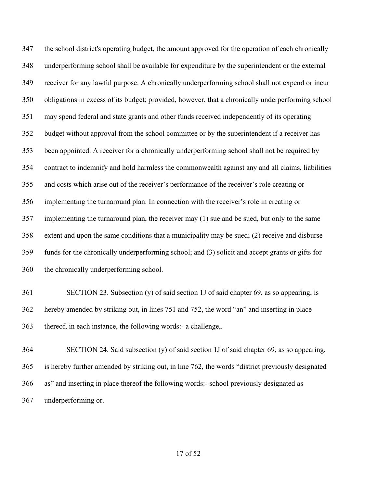the school district's operating budget, the amount approved for the operation of each chronically underperforming school shall be available for expenditure by the superintendent or the external receiver for any lawful purpose. A chronically underperforming school shall not expend or incur obligations in excess of its budget; provided, however, that a chronically underperforming school may spend federal and state grants and other funds received independently of its operating budget without approval from the school committee or by the superintendent if a receiver has been appointed. A receiver for a chronically underperforming school shall not be required by contract to indemnify and hold harmless the commonwealth against any and all claims, liabilities and costs which arise out of the receiver's performance of the receiver's role creating or implementing the turnaround plan. In connection with the receiver's role in creating or implementing the turnaround plan, the receiver may (1) sue and be sued, but only to the same extent and upon the same conditions that a municipality may be sued; (2) receive and disburse funds for the chronically underperforming school; and (3) solicit and accept grants or gifts for the chronically underperforming school.

 SECTION 23. Subsection (y) of said section 1J of said chapter 69, as so appearing, is hereby amended by striking out, in lines 751 and 752, the word "an" and inserting in place thereof, in each instance, the following words:- a challenge,.

 SECTION 24. Said subsection (y) of said section 1J of said chapter 69, as so appearing, is hereby further amended by striking out, in line 762, the words "district previously designated as" and inserting in place thereof the following words:- school previously designated as underperforming or.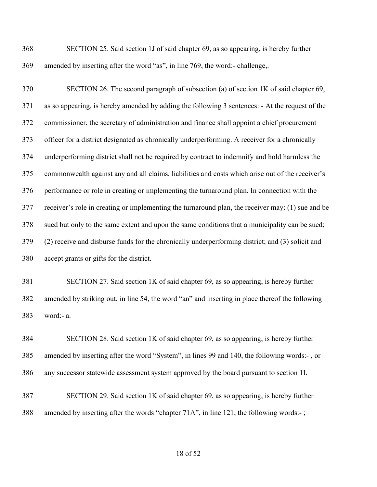SECTION 25. Said section 1J of said chapter 69, as so appearing, is hereby further amended by inserting after the word "as", in line 769, the word:- challenge,.

 SECTION 26. The second paragraph of subsection (a) of section 1K of said chapter 69, as so appearing, is hereby amended by adding the following 3 sentences: - At the request of the commissioner, the secretary of administration and finance shall appoint a chief procurement officer for a district designated as chronically underperforming. A receiver for a chronically underperforming district shall not be required by contract to indemnify and hold harmless the commonwealth against any and all claims, liabilities and costs which arise out of the receiver's performance or role in creating or implementing the turnaround plan. In connection with the receiver's role in creating or implementing the turnaround plan, the receiver may: (1) sue and be sued but only to the same extent and upon the same conditions that a municipality can be sued; (2) receive and disburse funds for the chronically underperforming district; and (3) solicit and accept grants or gifts for the district.

 SECTION 27. Said section 1K of said chapter 69, as so appearing, is hereby further amended by striking out, in line 54, the word "an" and inserting in place thereof the following word:- a.

 SECTION 28. Said section 1K of said chapter 69, as so appearing, is hereby further amended by inserting after the word "System", in lines 99 and 140, the following words:- , or any successor statewide assessment system approved by the board pursuant to section 1I.

 SECTION 29. Said section 1K of said chapter 69, as so appearing, is hereby further amended by inserting after the words "chapter 71A", in line 121, the following words:- ;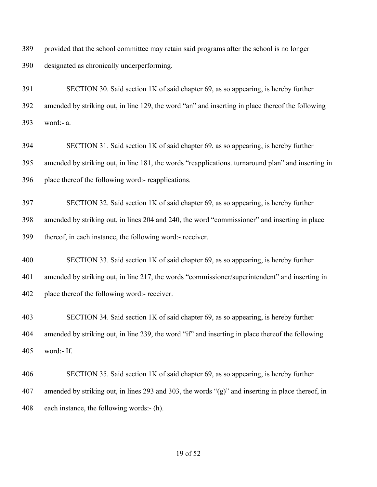provided that the school committee may retain said programs after the school is no longer designated as chronically underperforming.

 SECTION 30. Said section 1K of said chapter 69, as so appearing, is hereby further amended by striking out, in line 129, the word "an" and inserting in place thereof the following word:- a.

 SECTION 31. Said section 1K of said chapter 69, as so appearing, is hereby further amended by striking out, in line 181, the words "reapplications. turnaround plan" and inserting in place thereof the following word:- reapplications.

 SECTION 32. Said section 1K of said chapter 69, as so appearing, is hereby further amended by striking out, in lines 204 and 240, the word "commissioner" and inserting in place thereof, in each instance, the following word:- receiver.

 SECTION 33. Said section 1K of said chapter 69, as so appearing, is hereby further amended by striking out, in line 217, the words "commissioner/superintendent" and inserting in place thereof the following word:- receiver.

 SECTION 34. Said section 1K of said chapter 69, as so appearing, is hereby further amended by striking out, in line 239, the word "if" and inserting in place thereof the following word:- If.

 SECTION 35. Said section 1K of said chapter 69, as so appearing, is hereby further amended by striking out, in lines 293 and 303, the words "(g)" and inserting in place thereof, in each instance, the following words:- (h).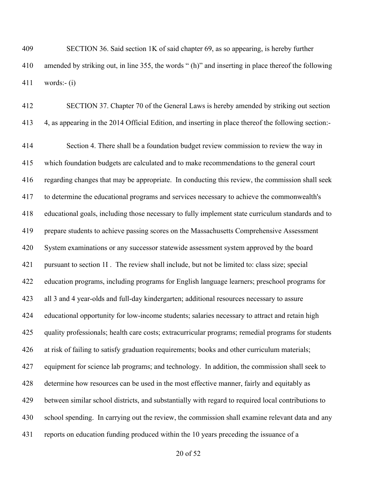SECTION 36. Said section 1K of said chapter 69, as so appearing, is hereby further amended by striking out, in line 355, the words " (h)" and inserting in place thereof the following words:- (i)

 SECTION 37. Chapter 70 of the General Laws is hereby amended by striking out section 4, as appearing in the 2014 Official Edition, and inserting in place thereof the following section:-

 Section 4. There shall be a foundation budget review commission to review the way in which foundation budgets are calculated and to make recommendations to the general court regarding changes that may be appropriate. In conducting this review, the commission shall seek to determine the educational programs and services necessary to achieve the commonwealth's educational goals, including those necessary to fully implement state curriculum standards and to prepare students to achieve passing scores on the Massachusetts Comprehensive Assessment System examinations or any successor statewide assessment system approved by the board pursuant to section 1I . The review shall include, but not be limited to: class size; special education programs, including programs for English language learners; preschool programs for all 3 and 4 year-olds and full-day kindergarten; additional resources necessary to assure educational opportunity for low-income students; salaries necessary to attract and retain high quality professionals; health care costs; extracurricular programs; remedial programs for students at risk of failing to satisfy graduation requirements; books and other curriculum materials; equipment for science lab programs; and technology. In addition, the commission shall seek to determine how resources can be used in the most effective manner, fairly and equitably as between similar school districts, and substantially with regard to required local contributions to school spending. In carrying out the review, the commission shall examine relevant data and any reports on education funding produced within the 10 years preceding the issuance of a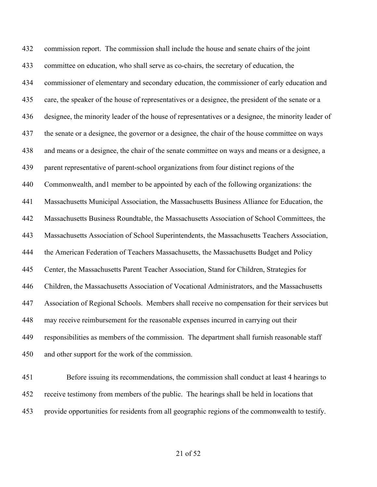commission report. The commission shall include the house and senate chairs of the joint committee on education, who shall serve as co-chairs, the secretary of education, the commissioner of elementary and secondary education, the commissioner of early education and care, the speaker of the house of representatives or a designee, the president of the senate or a designee, the minority leader of the house of representatives or a designee, the minority leader of the senate or a designee, the governor or a designee, the chair of the house committee on ways and means or a designee, the chair of the senate committee on ways and means or a designee, a parent representative of parent-school organizations from four distinct regions of the Commonwealth, and1 member to be appointed by each of the following organizations: the Massachusetts Municipal Association, the Massachusetts Business Alliance for Education, the Massachusetts Business Roundtable, the Massachusetts Association of School Committees, the Massachusetts Association of School Superintendents, the Massachusetts Teachers Association, the American Federation of Teachers Massachusetts, the Massachusetts Budget and Policy Center, the Massachusetts Parent Teacher Association, Stand for Children, Strategies for Children, the Massachusetts Association of Vocational Administrators, and the Massachusetts Association of Regional Schools. Members shall receive no compensation for their services but may receive reimbursement for the reasonable expenses incurred in carrying out their responsibilities as members of the commission. The department shall furnish reasonable staff and other support for the work of the commission.

 Before issuing its recommendations, the commission shall conduct at least 4 hearings to receive testimony from members of the public. The hearings shall be held in locations that provide opportunities for residents from all geographic regions of the commonwealth to testify.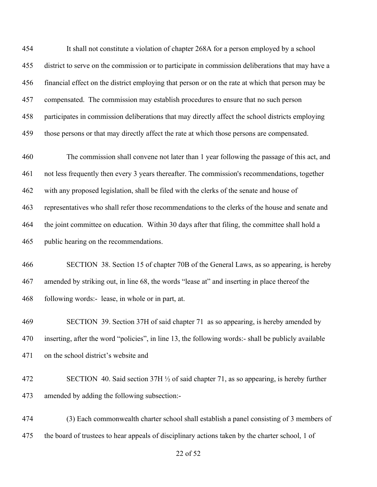It shall not constitute a violation of chapter 268A for a person employed by a school district to serve on the commission or to participate in commission deliberations that may have a financial effect on the district employing that person or on the rate at which that person may be compensated. The commission may establish procedures to ensure that no such person participates in commission deliberations that may directly affect the school districts employing those persons or that may directly affect the rate at which those persons are compensated.

 The commission shall convene not later than 1 year following the passage of this act, and not less frequently then every 3 years thereafter. The commission's recommendations, together with any proposed legislation, shall be filed with the clerks of the senate and house of representatives who shall refer those recommendations to the clerks of the house and senate and the joint committee on education. Within 30 days after that filing, the committee shall hold a public hearing on the recommendations.

 SECTION 38. Section 15 of chapter 70B of the General Laws, as so appearing, is hereby amended by striking out, in line 68, the words "lease at" and inserting in place thereof the following words:- lease, in whole or in part, at.

 SECTION 39. Section 37H of said chapter 71 as so appearing, is hereby amended by inserting, after the word "policies", in line 13, the following words:- shall be publicly available on the school district's website and

 SECTION 40. Said section 37H ½ of said chapter 71, as so appearing, is hereby further amended by adding the following subsection:-

 (3) Each commonwealth charter school shall establish a panel consisting of 3 members of the board of trustees to hear appeals of disciplinary actions taken by the charter school, 1 of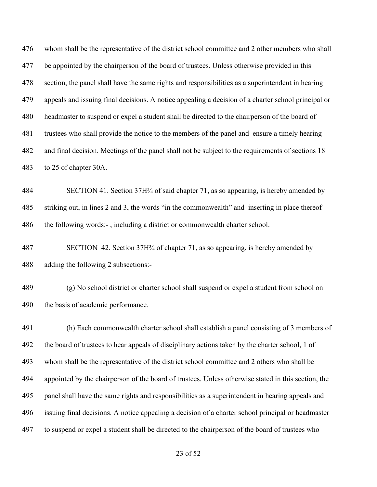whom shall be the representative of the district school committee and 2 other members who shall 477 be appointed by the chairperson of the board of trustees. Unless otherwise provided in this section, the panel shall have the same rights and responsibilities as a superintendent in hearing appeals and issuing final decisions. A notice appealing a decision of a charter school principal or headmaster to suspend or expel a student shall be directed to the chairperson of the board of trustees who shall provide the notice to the members of the panel and ensure a timely hearing and final decision. Meetings of the panel shall not be subject to the requirements of sections 18 to 25 of chapter 30A.

 SECTION 41. Section 37H¾ of said chapter 71, as so appearing, is hereby amended by striking out, in lines 2 and 3, the words "in the commonwealth" and inserting in place thereof 486 the following words:-, including a district or commonwealth charter school.

 SECTION 42. Section 37H¾ of chapter 71, as so appearing, is hereby amended by adding the following 2 subsections:-

 (g) No school district or charter school shall suspend or expel a student from school on the basis of academic performance.

 (h) Each commonwealth charter school shall establish a panel consisting of 3 members of the board of trustees to hear appeals of disciplinary actions taken by the charter school, 1 of whom shall be the representative of the district school committee and 2 others who shall be appointed by the chairperson of the board of trustees. Unless otherwise stated in this section, the panel shall have the same rights and responsibilities as a superintendent in hearing appeals and issuing final decisions. A notice appealing a decision of a charter school principal or headmaster to suspend or expel a student shall be directed to the chairperson of the board of trustees who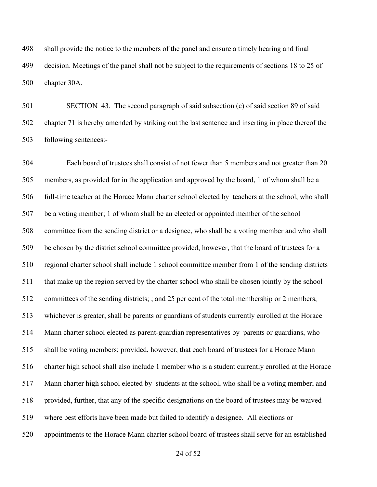shall provide the notice to the members of the panel and ensure a timely hearing and final decision. Meetings of the panel shall not be subject to the requirements of sections 18 to 25 of chapter 30A.

 SECTION 43. The second paragraph of said subsection (c) of said section 89 of said chapter 71 is hereby amended by striking out the last sentence and inserting in place thereof the following sentences:-

 Each board of trustees shall consist of not fewer than 5 members and not greater than 20 members, as provided for in the application and approved by the board, 1 of whom shall be a full-time teacher at the Horace Mann charter school elected by teachers at the school, who shall be a voting member; 1 of whom shall be an elected or appointed member of the school committee from the sending district or a designee, who shall be a voting member and who shall be chosen by the district school committee provided, however, that the board of trustees for a regional charter school shall include 1 school committee member from 1 of the sending districts that make up the region served by the charter school who shall be chosen jointly by the school committees of the sending districts; ; and 25 per cent of the total membership or 2 members, whichever is greater, shall be parents or guardians of students currently enrolled at the Horace Mann charter school elected as parent-guardian representatives by parents or guardians, who shall be voting members; provided, however, that each board of trustees for a Horace Mann charter high school shall also include 1 member who is a student currently enrolled at the Horace Mann charter high school elected by students at the school, who shall be a voting member; and provided, further, that any of the specific designations on the board of trustees may be waived where best efforts have been made but failed to identify a designee. All elections or appointments to the Horace Mann charter school board of trustees shall serve for an established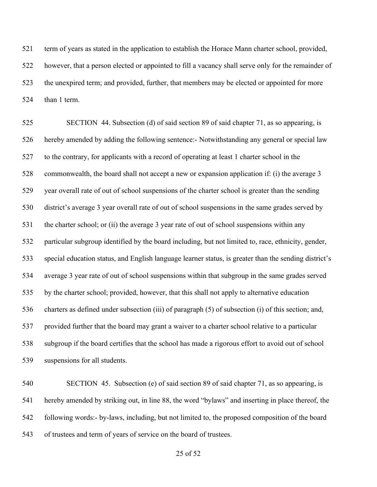term of years as stated in the application to establish the Horace Mann charter school, provided, however, that a person elected or appointed to fill a vacancy shall serve only for the remainder of the unexpired term; and provided, further, that members may be elected or appointed for more than 1 term.

 SECTION 44. Subsection (d) of said section 89 of said chapter 71, as so appearing, is hereby amended by adding the following sentence:- Notwithstanding any general or special law to the contrary, for applicants with a record of operating at least 1 charter school in the commonwealth, the board shall not accept a new or expansion application if: (i) the average 3 year overall rate of out of school suspensions of the charter school is greater than the sending district's average 3 year overall rate of out of school suspensions in the same grades served by 531 the charter school; or (ii) the average 3 year rate of out of school suspensions within any particular subgroup identified by the board including, but not limited to, race, ethnicity, gender, special education status, and English language learner status, is greater than the sending district's average 3 year rate of out of school suspensions within that subgroup in the same grades served by the charter school; provided, however, that this shall not apply to alternative education charters as defined under subsection (iii) of paragraph (5) of subsection (i) of this section; and, provided further that the board may grant a waiver to a charter school relative to a particular subgroup if the board certifies that the school has made a rigorous effort to avoid out of school suspensions for all students.

 SECTION 45. Subsection (e) of said section 89 of said chapter 71, as so appearing, is hereby amended by striking out, in line 88, the word "bylaws" and inserting in place thereof, the following words:- by-laws, including, but not limited to, the proposed composition of the board of trustees and term of years of service on the board of trustees.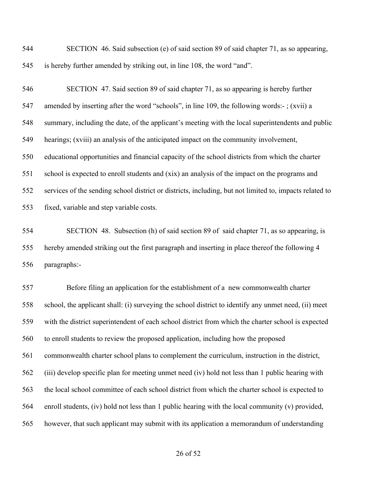SECTION 46. Said subsection (e) of said section 89 of said chapter 71, as so appearing, is hereby further amended by striking out, in line 108, the word "and".

 SECTION 47. Said section 89 of said chapter 71, as so appearing is hereby further amended by inserting after the word "schools", in line 109, the following words:- ; (xvii) a summary, including the date, of the applicant's meeting with the local superintendents and public hearings; (xviii) an analysis of the anticipated impact on the community involvement, educational opportunities and financial capacity of the school districts from which the charter school is expected to enroll students and (xix) an analysis of the impact on the programs and services of the sending school district or districts, including, but not limited to, impacts related to fixed, variable and step variable costs.

 SECTION 48. Subsection (h) of said section 89 of said chapter 71, as so appearing, is hereby amended striking out the first paragraph and inserting in place thereof the following 4 paragraphs:-

 Before filing an application for the establishment of a new commonwealth charter school, the applicant shall: (i) surveying the school district to identify any unmet need, (ii) meet with the district superintendent of each school district from which the charter school is expected to enroll students to review the proposed application, including how the proposed commonwealth charter school plans to complement the curriculum, instruction in the district, (iii) develop specific plan for meeting unmet need (iv) hold not less than 1 public hearing with the local school committee of each school district from which the charter school is expected to enroll students, (iv) hold not less than 1 public hearing with the local community (v) provided, however, that such applicant may submit with its application a memorandum of understanding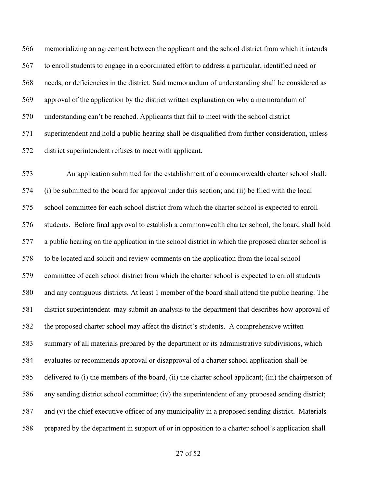memorializing an agreement between the applicant and the school district from which it intends to enroll students to engage in a coordinated effort to address a particular, identified need or needs, or deficiencies in the district. Said memorandum of understanding shall be considered as approval of the application by the district written explanation on why a memorandum of understanding can't be reached. Applicants that fail to meet with the school district superintendent and hold a public hearing shall be disqualified from further consideration, unless district superintendent refuses to meet with applicant.

 An application submitted for the establishment of a commonwealth charter school shall: (i) be submitted to the board for approval under this section; and (ii) be filed with the local school committee for each school district from which the charter school is expected to enroll students. Before final approval to establish a commonwealth charter school, the board shall hold a public hearing on the application in the school district in which the proposed charter school is to be located and solicit and review comments on the application from the local school committee of each school district from which the charter school is expected to enroll students and any contiguous districts. At least 1 member of the board shall attend the public hearing. The district superintendent may submit an analysis to the department that describes how approval of the proposed charter school may affect the district's students. A comprehensive written summary of all materials prepared by the department or its administrative subdivisions, which evaluates or recommends approval or disapproval of a charter school application shall be delivered to (i) the members of the board, (ii) the charter school applicant; (iii) the chairperson of any sending district school committee; (iv) the superintendent of any proposed sending district; and (v) the chief executive officer of any municipality in a proposed sending district. Materials prepared by the department in support of or in opposition to a charter school's application shall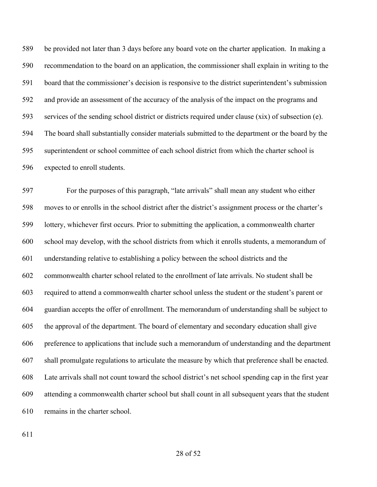be provided not later than 3 days before any board vote on the charter application. In making a recommendation to the board on an application, the commissioner shall explain in writing to the board that the commissioner's decision is responsive to the district superintendent's submission and provide an assessment of the accuracy of the analysis of the impact on the programs and services of the sending school district or districts required under clause (xix) of subsection (e). The board shall substantially consider materials submitted to the department or the board by the superintendent or school committee of each school district from which the charter school is expected to enroll students.

 For the purposes of this paragraph, "late arrivals" shall mean any student who either moves to or enrolls in the school district after the district's assignment process or the charter's lottery, whichever first occurs. Prior to submitting the application, a commonwealth charter school may develop, with the school districts from which it enrolls students, a memorandum of understanding relative to establishing a policy between the school districts and the commonwealth charter school related to the enrollment of late arrivals. No student shall be required to attend a commonwealth charter school unless the student or the student's parent or guardian accepts the offer of enrollment. The memorandum of understanding shall be subject to the approval of the department. The board of elementary and secondary education shall give preference to applications that include such a memorandum of understanding and the department shall promulgate regulations to articulate the measure by which that preference shall be enacted. Late arrivals shall not count toward the school district's net school spending cap in the first year attending a commonwealth charter school but shall count in all subsequent years that the student remains in the charter school.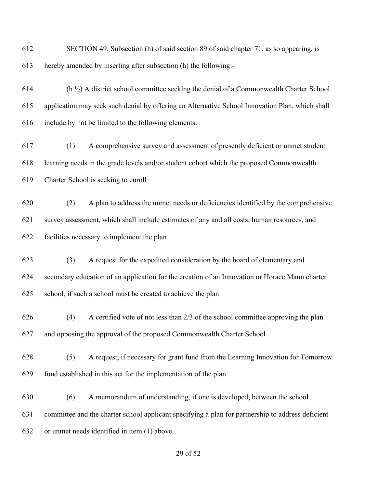SECTION 49. Subsection (h) of said section 89 of said chapter 71, as so appearing, is hereby amended by inserting after subsection (h) the following:- (h  $\frac{1}{2}$ ) A district school committee seeking the denial of a Commonwealth Charter School application may seek such denial by offering an Alternative School Innovation Plan, which shall include by not be limited to the following elements: (1) A comprehensive survey and assessment of presently deficient or unmet student learning needs in the grade levels and/or student cohort which the proposed Commonwealth Charter School is seeking to enroll (2) A plan to address the unmet needs or deficiencies identified by the comprehensive survey assessment, which shall include estimates of any and all costs, human resources, and facilities necessary to implement the plan (3) A request for the expedited consideration by the board of elementary and secondary education of an application for the creation of an Innovation or Horace Mann charter school, if such a school must be created to achieve the plan (4) A certified vote of not less than 2/3 of the school committee approving the plan and opposing the approval of the proposed Commonwealth Charter School (5) A request, if necessary for grant fund from the Learning Innovation for Tomorrow fund established in this act for the implementation of the plan (6) A memorandum of understanding, if one is developed, between the school committee and the charter school applicant specifying a plan for partnership to address deficient or unmet needs identified in item (1) above.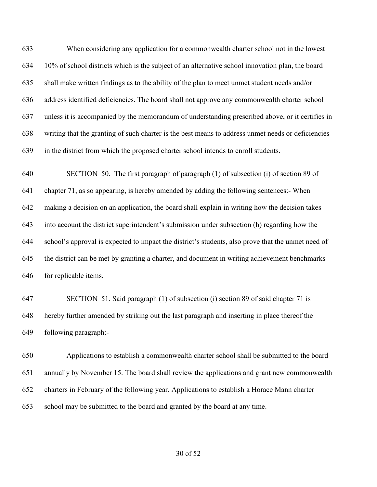When considering any application for a commonwealth charter school not in the lowest 10% of school districts which is the subject of an alternative school innovation plan, the board shall make written findings as to the ability of the plan to meet unmet student needs and/or address identified deficiencies. The board shall not approve any commonwealth charter school unless it is accompanied by the memorandum of understanding prescribed above, or it certifies in writing that the granting of such charter is the best means to address unmet needs or deficiencies in the district from which the proposed charter school intends to enroll students.

 SECTION 50. The first paragraph of paragraph (1) of subsection (i) of section 89 of chapter 71, as so appearing, is hereby amended by adding the following sentences:- When making a decision on an application, the board shall explain in writing how the decision takes into account the district superintendent's submission under subsection (h) regarding how the school's approval is expected to impact the district's students, also prove that the unmet need of the district can be met by granting a charter, and document in writing achievement benchmarks for replicable items.

 SECTION 51. Said paragraph (1) of subsection (i) section 89 of said chapter 71 is hereby further amended by striking out the last paragraph and inserting in place thereof the following paragraph:-

 Applications to establish a commonwealth charter school shall be submitted to the board annually by November 15. The board shall review the applications and grant new commonwealth charters in February of the following year. Applications to establish a Horace Mann charter school may be submitted to the board and granted by the board at any time.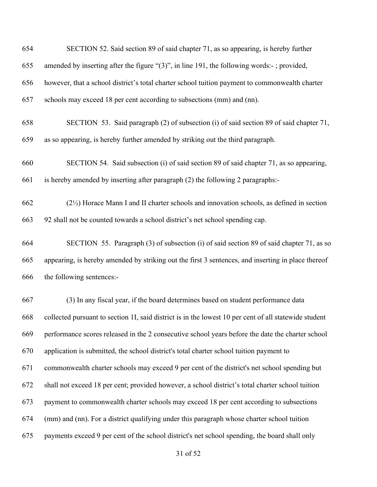| 654 | SECTION 52. Said section 89 of said chapter 71, as so appearing, is hereby further                    |
|-----|-------------------------------------------------------------------------------------------------------|
| 655 | amended by inserting after the figure " $(3)$ ", in line 191, the following words:-; provided,        |
| 656 | however, that a school district's total charter school tuition payment to commonwealth charter        |
| 657 | schools may exceed 18 per cent according to subsections (mm) and (nn).                                |
| 658 | SECTION 53. Said paragraph (2) of subsection (i) of said section 89 of said chapter 71,               |
| 659 | as so appearing, is hereby further amended by striking out the third paragraph.                       |
| 660 | SECTION 54. Said subsection (i) of said section 89 of said chapter 71, as so appearing,               |
| 661 | is hereby amended by inserting after paragraph (2) the following 2 paragraphs:-                       |
| 662 | $(2\frac{1}{2})$ Horace Mann I and II charter schools and innovation schools, as defined in section   |
| 663 | 92 shall not be counted towards a school district's net school spending cap.                          |
| 664 | SECTION 55. Paragraph (3) of subsection (i) of said section 89 of said chapter 71, as so              |
| 665 | appearing, is hereby amended by striking out the first 3 sentences, and inserting in place thereof    |
| 666 | the following sentences:-                                                                             |
| 667 | (3) In any fiscal year, if the board determines based on student performance data                     |
| 668 | collected pursuant to section 1I, said district is in the lowest 10 per cent of all statewide student |
| 669 | performance scores released in the 2 consecutive school years before the date the charter school      |
| 670 | application is submitted, the school district's total charter school tuition payment to               |
| 671 | commonwealth charter schools may exceed 9 per cent of the district's net school spending but          |
| 672 | shall not exceed 18 per cent; provided however, a school district's total charter school tuition      |
| 673 | payment to commonwealth charter schools may exceed 18 per cent according to subsections               |
| 674 | (mm) and (nn). For a district qualifying under this paragraph whose charter school tuition            |
| 675 | payments exceed 9 per cent of the school district's net school spending, the board shall only         |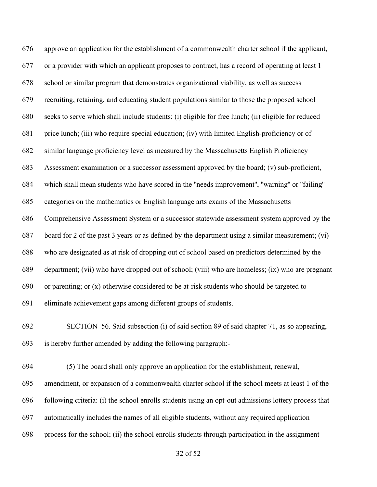approve an application for the establishment of a commonwealth charter school if the applicant, or a provider with which an applicant proposes to contract, has a record of operating at least 1 school or similar program that demonstrates organizational viability, as well as success recruiting, retaining, and educating student populations similar to those the proposed school seeks to serve which shall include students: (i) eligible for free lunch; (ii) eligible for reduced price lunch; (iii) who require special education; (iv) with limited English-proficiency or of similar language proficiency level as measured by the Massachusetts English Proficiency Assessment examination or a successor assessment approved by the board; (v) sub-proficient, which shall mean students who have scored in the ''needs improvement'', ''warning'' or ''failing'' categories on the mathematics or English language arts exams of the Massachusetts Comprehensive Assessment System or a successor statewide assessment system approved by the board for 2 of the past 3 years or as defined by the department using a similar measurement; (vi) who are designated as at risk of dropping out of school based on predictors determined by the department; (vii) who have dropped out of school; (viii) who are homeless; (ix) who are pregnant or parenting; or (x) otherwise considered to be at-risk students who should be targeted to eliminate achievement gaps among different groups of students.

 SECTION 56. Said subsection (i) of said section 89 of said chapter 71, as so appearing, is hereby further amended by adding the following paragraph:-

 (5) The board shall only approve an application for the establishment, renewal, amendment, or expansion of a commonwealth charter school if the school meets at least 1 of the following criteria: (i) the school enrolls students using an opt-out admissions lottery process that automatically includes the names of all eligible students, without any required application process for the school; (ii) the school enrolls students through participation in the assignment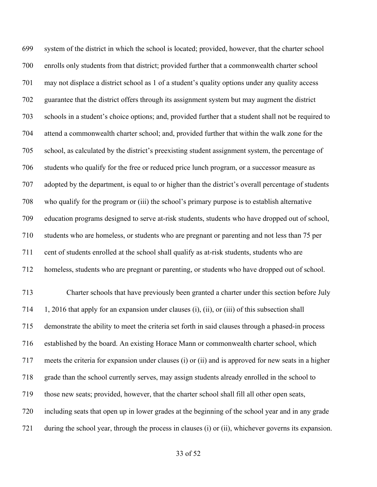system of the district in which the school is located; provided, however, that the charter school enrolls only students from that district; provided further that a commonwealth charter school may not displace a district school as 1 of a student's quality options under any quality access guarantee that the district offers through its assignment system but may augment the district schools in a student's choice options; and, provided further that a student shall not be required to attend a commonwealth charter school; and, provided further that within the walk zone for the school, as calculated by the district's preexisting student assignment system, the percentage of students who qualify for the free or reduced price lunch program, or a successor measure as adopted by the department, is equal to or higher than the district's overall percentage of students who qualify for the program or (iii) the school's primary purpose is to establish alternative education programs designed to serve at-risk students, students who have dropped out of school, students who are homeless, or students who are pregnant or parenting and not less than 75 per cent of students enrolled at the school shall qualify as at-risk students, students who are homeless, students who are pregnant or parenting, or students who have dropped out of school. Charter schools that have previously been granted a charter under this section before July 1, 2016 that apply for an expansion under clauses (i), (ii), or (iii) of this subsection shall demonstrate the ability to meet the criteria set forth in said clauses through a phased-in process established by the board. An existing Horace Mann or commonwealth charter school, which meets the criteria for expansion under clauses (i) or (ii) and is approved for new seats in a higher grade than the school currently serves, may assign students already enrolled in the school to those new seats; provided, however, that the charter school shall fill all other open seats, including seats that open up in lower grades at the beginning of the school year and in any grade during the school year, through the process in clauses (i) or (ii), whichever governs its expansion.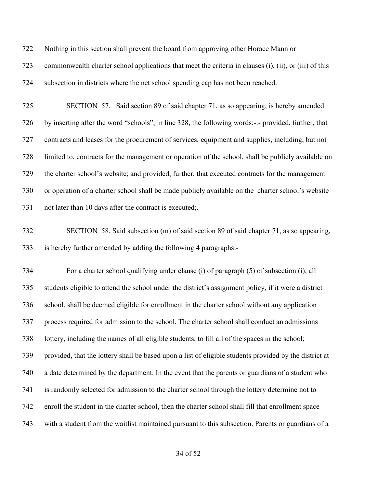Nothing in this section shall prevent the board from approving other Horace Mann or

 commonwealth charter school applications that meet the criteria in clauses (i), (ii), or (iii) of this subsection in districts where the net school spending cap has not been reached.

 SECTION 57. Said section 89 of said chapter 71, as so appearing, is hereby amended by inserting after the word "schools", in line 328, the following words:-:- provided, further, that contracts and leases for the procurement of services, equipment and supplies, including, but not limited to, contracts for the management or operation of the school, shall be publicly available on the charter school's website; and provided, further, that executed contracts for the management or operation of a charter school shall be made publicly available on the charter school's website 731 not later than 10 days after the contract is executed;

# SECTION 58. Said subsection (m) of said section 89 of said chapter 71, as so appearing, is hereby further amended by adding the following 4 paragraphs:-

 For a charter school qualifying under clause (i) of paragraph (5) of subsection (i), all students eligible to attend the school under the district's assignment policy, if it were a district school, shall be deemed eligible for enrollment in the charter school without any application process required for admission to the school. The charter school shall conduct an admissions lottery, including the names of all eligible students, to fill all of the spaces in the school; provided, that the lottery shall be based upon a list of eligible students provided by the district at a date determined by the department. In the event that the parents or guardians of a student who is randomly selected for admission to the charter school through the lottery determine not to enroll the student in the charter school, then the charter school shall fill that enrollment space with a student from the waitlist maintained pursuant to this subsection. Parents or guardians of a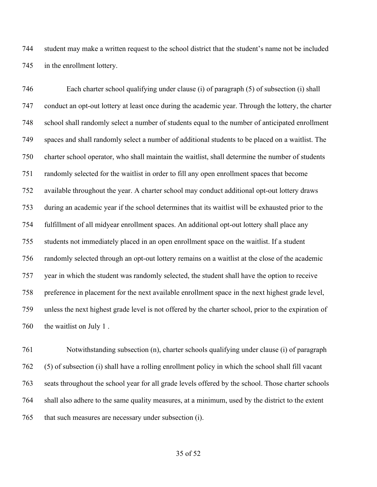student may make a written request to the school district that the student's name not be included in the enrollment lottery.

 Each charter school qualifying under clause (i) of paragraph (5) of subsection (i) shall conduct an opt-out lottery at least once during the academic year. Through the lottery, the charter school shall randomly select a number of students equal to the number of anticipated enrollment spaces and shall randomly select a number of additional students to be placed on a waitlist. The charter school operator, who shall maintain the waitlist, shall determine the number of students randomly selected for the waitlist in order to fill any open enrollment spaces that become available throughout the year. A charter school may conduct additional opt-out lottery draws during an academic year if the school determines that its waitlist will be exhausted prior to the fulfillment of all midyear enrollment spaces. An additional opt-out lottery shall place any students not immediately placed in an open enrollment space on the waitlist. If a student randomly selected through an opt-out lottery remains on a waitlist at the close of the academic year in which the student was randomly selected, the student shall have the option to receive preference in placement for the next available enrollment space in the next highest grade level, unless the next highest grade level is not offered by the charter school, prior to the expiration of the waitlist on July 1 .

 Notwithstanding subsection (n), charter schools qualifying under clause (i) of paragraph (5) of subsection (i) shall have a rolling enrollment policy in which the school shall fill vacant seats throughout the school year for all grade levels offered by the school. Those charter schools shall also adhere to the same quality measures, at a minimum, used by the district to the extent that such measures are necessary under subsection (i).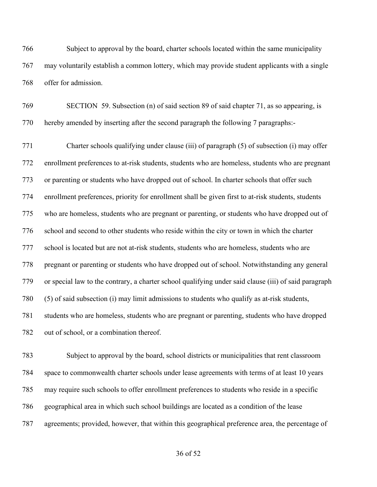Subject to approval by the board, charter schools located within the same municipality may voluntarily establish a common lottery, which may provide student applicants with a single offer for admission.

 SECTION 59. Subsection (n) of said section 89 of said chapter 71, as so appearing, is hereby amended by inserting after the second paragraph the following 7 paragraphs:-

 Charter schools qualifying under clause (iii) of paragraph (5) of subsection (i) may offer enrollment preferences to at-risk students, students who are homeless, students who are pregnant or parenting or students who have dropped out of school. In charter schools that offer such enrollment preferences, priority for enrollment shall be given first to at-risk students, students who are homeless, students who are pregnant or parenting, or students who have dropped out of school and second to other students who reside within the city or town in which the charter school is located but are not at-risk students, students who are homeless, students who are pregnant or parenting or students who have dropped out of school. Notwithstanding any general or special law to the contrary, a charter school qualifying under said clause (iii) of said paragraph (5) of said subsection (i) may limit admissions to students who qualify as at-risk students, students who are homeless, students who are pregnant or parenting, students who have dropped out of school, or a combination thereof.

 Subject to approval by the board, school districts or municipalities that rent classroom space to commonwealth charter schools under lease agreements with terms of at least 10 years may require such schools to offer enrollment preferences to students who reside in a specific geographical area in which such school buildings are located as a condition of the lease agreements; provided, however, that within this geographical preference area, the percentage of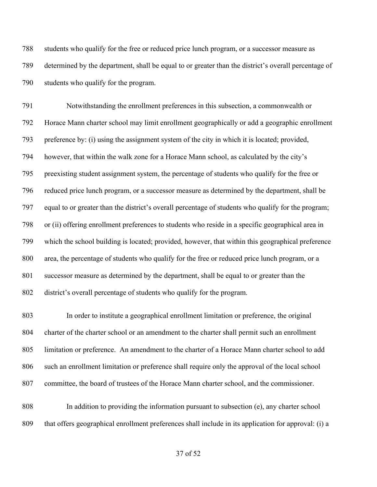students who qualify for the free or reduced price lunch program, or a successor measure as determined by the department, shall be equal to or greater than the district's overall percentage of students who qualify for the program.

 Notwithstanding the enrollment preferences in this subsection, a commonwealth or Horace Mann charter school may limit enrollment geographically or add a geographic enrollment preference by: (i) using the assignment system of the city in which it is located; provided, however, that within the walk zone for a Horace Mann school, as calculated by the city's preexisting student assignment system, the percentage of students who qualify for the free or reduced price lunch program, or a successor measure as determined by the department, shall be equal to or greater than the district's overall percentage of students who qualify for the program; or (ii) offering enrollment preferences to students who reside in a specific geographical area in which the school building is located; provided, however, that within this geographical preference area, the percentage of students who qualify for the free or reduced price lunch program, or a successor measure as determined by the department, shall be equal to or greater than the district's overall percentage of students who qualify for the program.

 In order to institute a geographical enrollment limitation or preference, the original charter of the charter school or an amendment to the charter shall permit such an enrollment limitation or preference. An amendment to the charter of a Horace Mann charter school to add such an enrollment limitation or preference shall require only the approval of the local school committee, the board of trustees of the Horace Mann charter school, and the commissioner.

 In addition to providing the information pursuant to subsection (e), any charter school that offers geographical enrollment preferences shall include in its application for approval: (i) a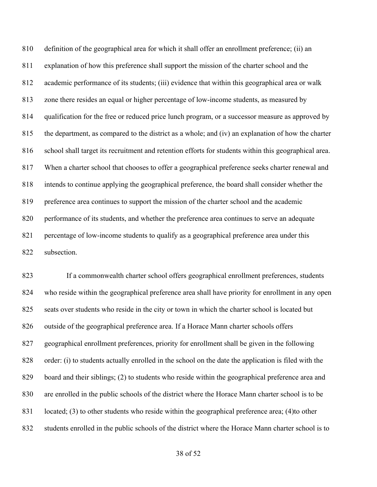definition of the geographical area for which it shall offer an enrollment preference; (ii) an explanation of how this preference shall support the mission of the charter school and the academic performance of its students; (iii) evidence that within this geographical area or walk zone there resides an equal or higher percentage of low-income students, as measured by qualification for the free or reduced price lunch program, or a successor measure as approved by the department, as compared to the district as a whole; and (iv) an explanation of how the charter school shall target its recruitment and retention efforts for students within this geographical area. When a charter school that chooses to offer a geographical preference seeks charter renewal and intends to continue applying the geographical preference, the board shall consider whether the preference area continues to support the mission of the charter school and the academic performance of its students, and whether the preference area continues to serve an adequate percentage of low-income students to qualify as a geographical preference area under this subsection.

 If a commonwealth charter school offers geographical enrollment preferences, students who reside within the geographical preference area shall have priority for enrollment in any open seats over students who reside in the city or town in which the charter school is located but outside of the geographical preference area. If a Horace Mann charter schools offers geographical enrollment preferences, priority for enrollment shall be given in the following order: (i) to students actually enrolled in the school on the date the application is filed with the board and their siblings; (2) to students who reside within the geographical preference area and are enrolled in the public schools of the district where the Horace Mann charter school is to be located; (3) to other students who reside within the geographical preference area; (4)to other students enrolled in the public schools of the district where the Horace Mann charter school is to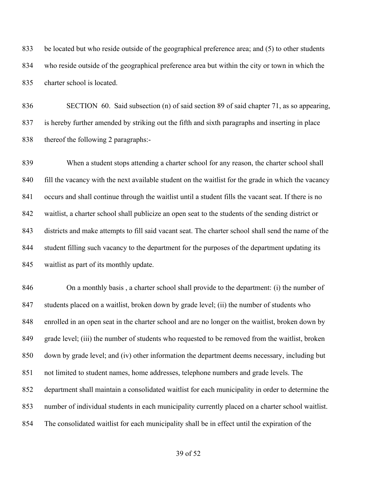be located but who reside outside of the geographical preference area; and (5) to other students who reside outside of the geographical preference area but within the city or town in which the charter school is located.

 SECTION 60. Said subsection (n) of said section 89 of said chapter 71, as so appearing, is hereby further amended by striking out the fifth and sixth paragraphs and inserting in place thereof the following 2 paragraphs:-

 When a student stops attending a charter school for any reason, the charter school shall 840 fill the vacancy with the next available student on the waitlist for the grade in which the vacancy occurs and shall continue through the waitlist until a student fills the vacant seat. If there is no waitlist, a charter school shall publicize an open seat to the students of the sending district or districts and make attempts to fill said vacant seat. The charter school shall send the name of the student filling such vacancy to the department for the purposes of the department updating its waitlist as part of its monthly update.

 On a monthly basis , a charter school shall provide to the department: (i) the number of students placed on a waitlist, broken down by grade level; (ii) the number of students who enrolled in an open seat in the charter school and are no longer on the waitlist, broken down by grade level; (iii) the number of students who requested to be removed from the waitlist, broken down by grade level; and (iv) other information the department deems necessary, including but not limited to student names, home addresses, telephone numbers and grade levels. The department shall maintain a consolidated waitlist for each municipality in order to determine the number of individual students in each municipality currently placed on a charter school waitlist. The consolidated waitlist for each municipality shall be in effect until the expiration of the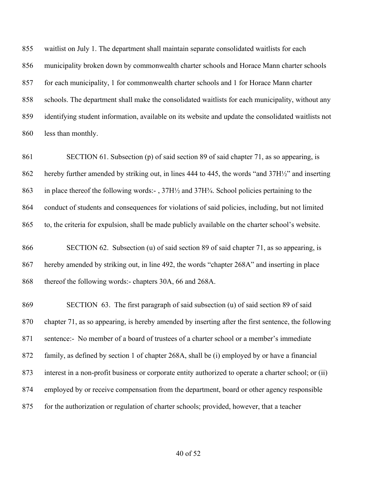waitlist on July 1. The department shall maintain separate consolidated waitlists for each municipality broken down by commonwealth charter schools and Horace Mann charter schools for each municipality, 1 for commonwealth charter schools and 1 for Horace Mann charter schools. The department shall make the consolidated waitlists for each municipality, without any identifying student information, available on its website and update the consolidated waitlists not less than monthly.

 SECTION 61. Subsection (p) of said section 89 of said chapter 71, as so appearing, is hereby further amended by striking out, in lines 444 to 445, the words "and 37H½" and inserting 863 in place thereof the following words:-,  $37H\frac{1}{2}$  and  $37H\frac{3}{4}$ . School policies pertaining to the conduct of students and consequences for violations of said policies, including, but not limited to, the criteria for expulsion, shall be made publicly available on the charter school's website.

 SECTION 62. Subsection (u) of said section 89 of said chapter 71, as so appearing, is hereby amended by striking out, in line 492, the words "chapter 268A" and inserting in place thereof the following words:- chapters 30A, 66 and 268A.

 SECTION 63. The first paragraph of said subsection (u) of said section 89 of said chapter 71, as so appearing, is hereby amended by inserting after the first sentence, the following sentence:- No member of a board of trustees of a charter school or a member's immediate family, as defined by section 1 of chapter 268A, shall be (i) employed by or have a financial interest in a non-profit business or corporate entity authorized to operate a charter school; or (ii) employed by or receive compensation from the department, board or other agency responsible for the authorization or regulation of charter schools; provided, however, that a teacher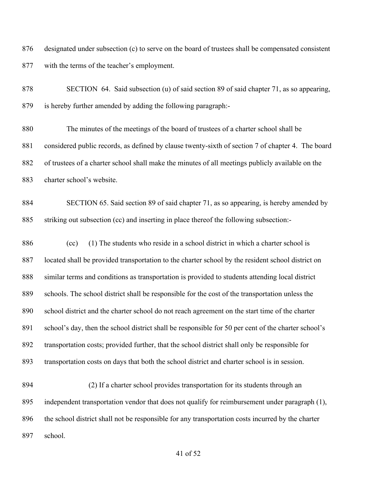designated under subsection (c) to serve on the board of trustees shall be compensated consistent with the terms of the teacher's employment.

 SECTION 64. Said subsection (u) of said section 89 of said chapter 71, as so appearing, is hereby further amended by adding the following paragraph:-

 The minutes of the meetings of the board of trustees of a charter school shall be considered public records, as defined by clause twenty-sixth of section 7 of chapter 4. The board of trustees of a charter school shall make the minutes of all meetings publicly available on the charter school's website.

 SECTION 65. Said section 89 of said chapter 71, as so appearing, is hereby amended by striking out subsection (cc) and inserting in place thereof the following subsection:-

 (cc) (1) The students who reside in a school district in which a charter school is located shall be provided transportation to the charter school by the resident school district on similar terms and conditions as transportation is provided to students attending local district schools. The school district shall be responsible for the cost of the transportation unless the school district and the charter school do not reach agreement on the start time of the charter school's day, then the school district shall be responsible for 50 per cent of the charter school's transportation costs; provided further, that the school district shall only be responsible for transportation costs on days that both the school district and charter school is in session.

 (2) If a charter school provides transportation for its students through an independent transportation vendor that does not qualify for reimbursement under paragraph (1), the school district shall not be responsible for any transportation costs incurred by the charter school.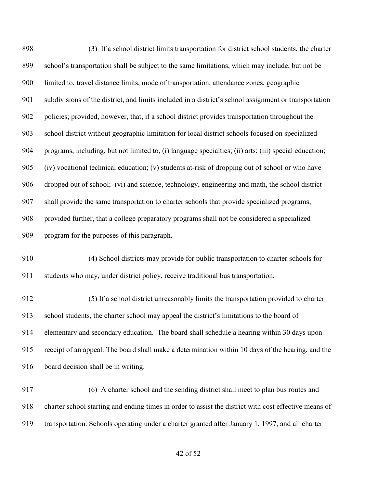| 898 | (3) If a school district limits transportation for district school students, the charter               |
|-----|--------------------------------------------------------------------------------------------------------|
| 899 | school's transportation shall be subject to the same limitations, which may include, but not be        |
| 900 | limited to, travel distance limits, mode of transportation, attendance zones, geographic               |
| 901 | subdivisions of the district, and limits included in a district's school assignment or transportation  |
| 902 | policies; provided, however, that, if a school district provides transportation throughout the         |
| 903 | school district without geographic limitation for local district schools focused on specialized        |
| 904 | programs, including, but not limited to, (i) language specialties; (ii) arts; (iii) special education; |
| 905 | (iv) vocational technical education; (v) students at-risk of dropping out of school or who have        |
| 906 | dropped out of school; (vi) and science, technology, engineering and math, the school district         |
| 907 | shall provide the same transportation to charter schools that provide specialized programs;            |
| 908 | provided further, that a college preparatory programs shall not be considered a specialized            |
| 909 | program for the purposes of this paragraph.                                                            |
| 910 | (4) School districts may provide for public transportation to charter schools for                      |
| 911 | students who may, under district policy, receive traditional bus transportation.                       |
| 912 | (5) If a school district unreasonably limits the transportation provided to charter                    |
| 913 | school students, the charter school may appeal the district's limitations to the board of              |
| 914 | elementary and secondary education. The board shall schedule a hearing within 30 days upon             |
| 915 | receipt of an appeal. The board shall make a determination within 10 days of the hearing, and the      |
| 916 | board decision shall be in writing.                                                                    |
| 917 | (6) A charter school and the sending district shall meet to plan bus routes and                        |
| 918 | charter school starting and ending times in order to assist the district with cost effective means of  |
| 919 | transportation. Schools operating under a charter granted after January 1, 1997, and all charter       |
|     |                                                                                                        |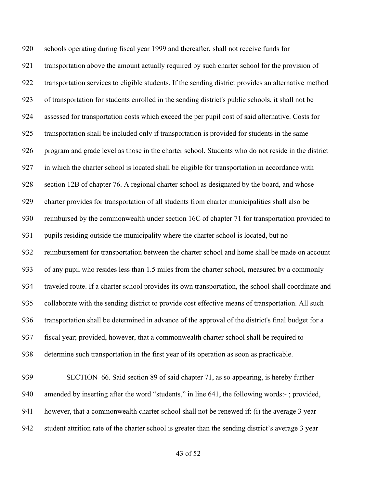schools operating during fiscal year 1999 and thereafter, shall not receive funds for transportation above the amount actually required by such charter school for the provision of transportation services to eligible students. If the sending district provides an alternative method of transportation for students enrolled in the sending district's public schools, it shall not be assessed for transportation costs which exceed the per pupil cost of said alternative. Costs for transportation shall be included only if transportation is provided for students in the same program and grade level as those in the charter school. Students who do not reside in the district in which the charter school is located shall be eligible for transportation in accordance with section 12B of chapter 76. A regional charter school as designated by the board, and whose charter provides for transportation of all students from charter municipalities shall also be reimbursed by the commonwealth under section 16C of chapter 71 for transportation provided to pupils residing outside the municipality where the charter school is located, but no reimbursement for transportation between the charter school and home shall be made on account of any pupil who resides less than 1.5 miles from the charter school, measured by a commonly traveled route. If a charter school provides its own transportation, the school shall coordinate and collaborate with the sending district to provide cost effective means of transportation. All such transportation shall be determined in advance of the approval of the district's final budget for a fiscal year; provided, however, that a commonwealth charter school shall be required to determine such transportation in the first year of its operation as soon as practicable. SECTION 66. Said section 89 of said chapter 71, as so appearing, is hereby further amended by inserting after the word "students," in line 641, the following words:- ; provided, however, that a commonwealth charter school shall not be renewed if: (i) the average 3 year

student attrition rate of the charter school is greater than the sending district's average 3 year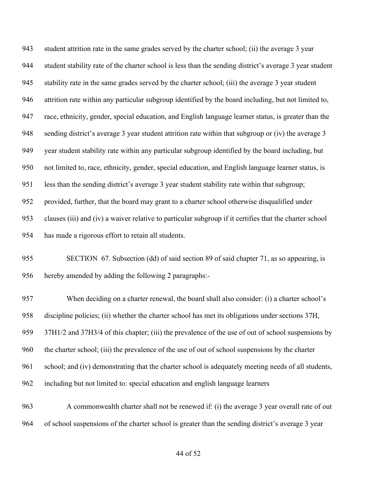student attrition rate in the same grades served by the charter school; (ii) the average 3 year student stability rate of the charter school is less than the sending district's average 3 year student stability rate in the same grades served by the charter school; (iii) the average 3 year student attrition rate within any particular subgroup identified by the board including, but not limited to, race, ethnicity, gender, special education, and English language learner status, is greater than the sending district's average 3 year student attrition rate within that subgroup or (iv) the average 3 year student stability rate within any particular subgroup identified by the board including, but not limited to, race, ethnicity, gender, special education, and English language learner status, is less than the sending district's average 3 year student stability rate within that subgroup; provided, further, that the board may grant to a charter school otherwise disqualified under clauses (iii) and (iv) a waiver relative to particular subgroup if it certifies that the charter school has made a rigorous effort to retain all students.

 SECTION 67. Subsection (dd) of said section 89 of said chapter 71, as so appearing, is hereby amended by adding the following 2 paragraphs:-

 When deciding on a charter renewal, the board shall also consider: (i) a charter school's discipline policies; (ii) whether the charter school has met its obligations under sections 37H, 37H1/2 and 37H3/4 of this chapter; (iii) the prevalence of the use of out of school suspensions by the charter school; (iii) the prevalence of the use of out of school suspensions by the charter school; and (iv) demonstrating that the charter school is adequately meeting needs of all students, including but not limited to: special education and english language learners

 A commonwealth charter shall not be renewed if: (i) the average 3 year overall rate of out of school suspensions of the charter school is greater than the sending district's average 3 year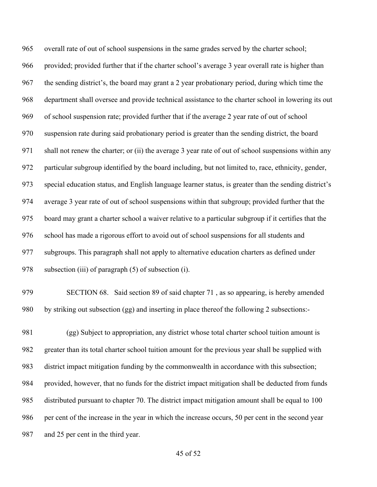overall rate of out of school suspensions in the same grades served by the charter school; provided; provided further that if the charter school's average 3 year overall rate is higher than the sending district's, the board may grant a 2 year probationary period, during which time the department shall oversee and provide technical assistance to the charter school in lowering its out of school suspension rate; provided further that if the average 2 year rate of out of school suspension rate during said probationary period is greater than the sending district, the board shall not renew the charter; or (ii) the average 3 year rate of out of school suspensions within any particular subgroup identified by the board including, but not limited to, race, ethnicity, gender, special education status, and English language learner status, is greater than the sending district's average 3 year rate of out of school suspensions within that subgroup; provided further that the board may grant a charter school a waiver relative to a particular subgroup if it certifies that the school has made a rigorous effort to avoid out of school suspensions for all students and subgroups. This paragraph shall not apply to alternative education charters as defined under 978 subsection (iii) of paragraph (5) of subsection (i).

 SECTION 68. Said section 89 of said chapter 71 , as so appearing, is hereby amended by striking out subsection (gg) and inserting in place thereof the following 2 subsections:-

 (gg) Subject to appropriation, any district whose total charter school tuition amount is greater than its total charter school tuition amount for the previous year shall be supplied with district impact mitigation funding by the commonwealth in accordance with this subsection; provided, however, that no funds for the district impact mitigation shall be deducted from funds distributed pursuant to chapter 70. The district impact mitigation amount shall be equal to 100 per cent of the increase in the year in which the increase occurs, 50 per cent in the second year and 25 per cent in the third year.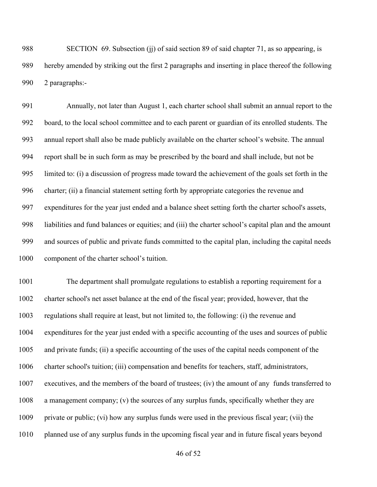988 SECTION 69. Subsection (j) of said section 89 of said chapter 71, as so appearing, is hereby amended by striking out the first 2 paragraphs and inserting in place thereof the following 2 paragraphs:-

 Annually, not later than August 1, each charter school shall submit an annual report to the board, to the local school committee and to each parent or guardian of its enrolled students. The annual report shall also be made publicly available on the charter school's website. The annual report shall be in such form as may be prescribed by the board and shall include, but not be limited to: (i) a discussion of progress made toward the achievement of the goals set forth in the charter; (ii) a financial statement setting forth by appropriate categories the revenue and expenditures for the year just ended and a balance sheet setting forth the charter school's assets, liabilities and fund balances or equities; and (iii) the charter school's capital plan and the amount and sources of public and private funds committed to the capital plan, including the capital needs component of the charter school's tuition.

 The department shall promulgate regulations to establish a reporting requirement for a charter school's net asset balance at the end of the fiscal year; provided, however, that the regulations shall require at least, but not limited to, the following: (i) the revenue and expenditures for the year just ended with a specific accounting of the uses and sources of public and private funds; (ii) a specific accounting of the uses of the capital needs component of the charter school's tuition; (iii) compensation and benefits for teachers, staff, administrators, executives, and the members of the board of trustees; (iv) the amount of any funds transferred to a management company; (v) the sources of any surplus funds, specifically whether they are private or public; (vi) how any surplus funds were used in the previous fiscal year; (vii) the planned use of any surplus funds in the upcoming fiscal year and in future fiscal years beyond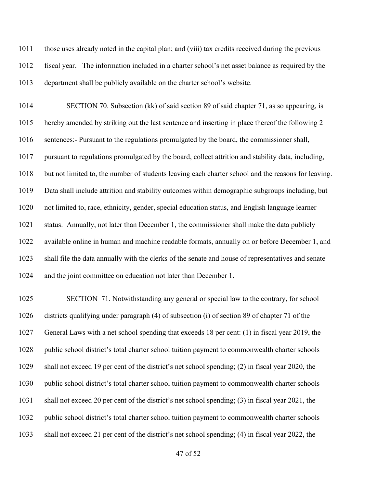those uses already noted in the capital plan; and (viii) tax credits received during the previous fiscal year. The information included in a charter school's net asset balance as required by the department shall be publicly available on the charter school's website.

 SECTION 70. Subsection (kk) of said section 89 of said chapter 71, as so appearing, is hereby amended by striking out the last sentence and inserting in place thereof the following 2 sentences:- Pursuant to the regulations promulgated by the board, the commissioner shall, pursuant to regulations promulgated by the board, collect attrition and stability data, including, but not limited to, the number of students leaving each charter school and the reasons for leaving. Data shall include attrition and stability outcomes within demographic subgroups including, but not limited to, race, ethnicity, gender, special education status, and English language learner status. Annually, not later than December 1, the commissioner shall make the data publicly available online in human and machine readable formats, annually on or before December 1, and shall file the data annually with the clerks of the senate and house of representatives and senate and the joint committee on education not later than December 1.

 SECTION 71. Notwithstanding any general or special law to the contrary, for school districts qualifying under paragraph (4) of subsection (i) of section 89 of chapter 71 of the General Laws with a net school spending that exceeds 18 per cent: (1) in fiscal year 2019, the 1028 public school district's total charter school tuition payment to commonwealth charter schools shall not exceed 19 per cent of the district's net school spending; (2) in fiscal year 2020, the public school district's total charter school tuition payment to commonwealth charter schools shall not exceed 20 per cent of the district's net school spending; (3) in fiscal year 2021, the public school district's total charter school tuition payment to commonwealth charter schools shall not exceed 21 per cent of the district's net school spending; (4) in fiscal year 2022, the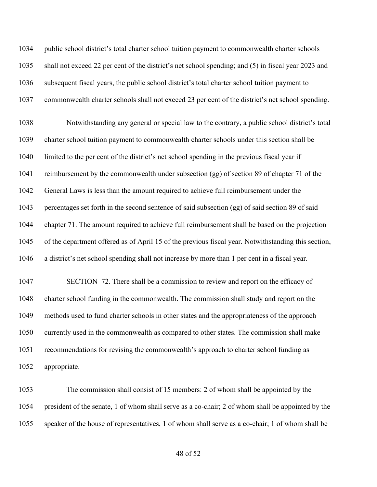public school district's total charter school tuition payment to commonwealth charter schools shall not exceed 22 per cent of the district's net school spending; and (5) in fiscal year 2023 and subsequent fiscal years, the public school district's total charter school tuition payment to commonwealth charter schools shall not exceed 23 per cent of the district's net school spending.

 Notwithstanding any general or special law to the contrary, a public school district's total charter school tuition payment to commonwealth charter schools under this section shall be limited to the per cent of the district's net school spending in the previous fiscal year if reimbursement by the commonwealth under subsection (gg) of section 89 of chapter 71 of the General Laws is less than the amount required to achieve full reimbursement under the percentages set forth in the second sentence of said subsection (gg) of said section 89 of said chapter 71. The amount required to achieve full reimbursement shall be based on the projection of the department offered as of April 15 of the previous fiscal year. Notwithstanding this section, a district's net school spending shall not increase by more than 1 per cent in a fiscal year.

 SECTION 72. There shall be a commission to review and report on the efficacy of charter school funding in the commonwealth. The commission shall study and report on the methods used to fund charter schools in other states and the appropriateness of the approach currently used in the commonwealth as compared to other states. The commission shall make recommendations for revising the commonwealth's approach to charter school funding as appropriate.

 The commission shall consist of 15 members: 2 of whom shall be appointed by the president of the senate, 1 of whom shall serve as a co-chair; 2 of whom shall be appointed by the speaker of the house of representatives, 1 of whom shall serve as a co-chair; 1 of whom shall be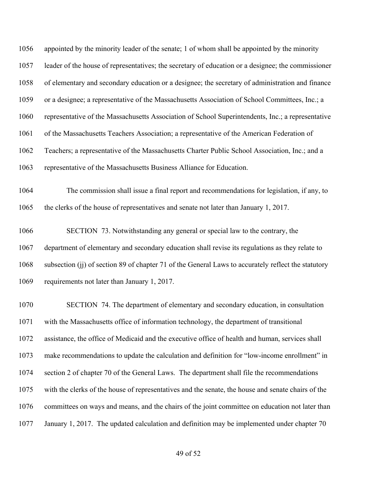appointed by the minority leader of the senate; 1 of whom shall be appointed by the minority leader of the house of representatives; the secretary of education or a designee; the commissioner of elementary and secondary education or a designee; the secretary of administration and finance or a designee; a representative of the Massachusetts Association of School Committees, Inc.; a representative of the Massachusetts Association of School Superintendents, Inc.; a representative of the Massachusetts Teachers Association; a representative of the American Federation of Teachers; a representative of the Massachusetts Charter Public School Association, Inc.; and a representative of the Massachusetts Business Alliance for Education.

 The commission shall issue a final report and recommendations for legislation, if any, to the clerks of the house of representatives and senate not later than January 1, 2017.

 SECTION 73. Notwithstanding any general or special law to the contrary, the department of elementary and secondary education shall revise its regulations as they relate to subsection (jj) of section 89 of chapter 71 of the General Laws to accurately reflect the statutory requirements not later than January 1, 2017.

 SECTION 74. The department of elementary and secondary education, in consultation with the Massachusetts office of information technology, the department of transitional assistance, the office of Medicaid and the executive office of health and human, services shall make recommendations to update the calculation and definition for "low-income enrollment" in section 2 of chapter 70 of the General Laws. The department shall file the recommendations with the clerks of the house of representatives and the senate, the house and senate chairs of the committees on ways and means, and the chairs of the joint committee on education not later than January 1, 2017. The updated calculation and definition may be implemented under chapter 70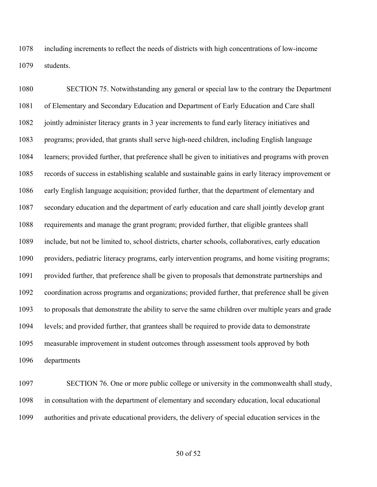including increments to reflect the needs of districts with high concentrations of low-income students.

 SECTION 75. Notwithstanding any general or special law to the contrary the Department of Elementary and Secondary Education and Department of Early Education and Care shall jointly administer literacy grants in 3 year increments to fund early literacy initiatives and programs; provided, that grants shall serve high-need children, including English language learners; provided further, that preference shall be given to initiatives and programs with proven records of success in establishing scalable and sustainable gains in early literacy improvement or early English language acquisition; provided further, that the department of elementary and secondary education and the department of early education and care shall jointly develop grant requirements and manage the grant program; provided further, that eligible grantees shall include, but not be limited to, school districts, charter schools, collaboratives, early education providers, pediatric literacy programs, early intervention programs, and home visiting programs; provided further, that preference shall be given to proposals that demonstrate partnerships and coordination across programs and organizations; provided further, that preference shall be given to proposals that demonstrate the ability to serve the same children over multiple years and grade levels; and provided further, that grantees shall be required to provide data to demonstrate measurable improvement in student outcomes through assessment tools approved by both departments

 SECTION 76. One or more public college or university in the commonwealth shall study, in consultation with the department of elementary and secondary education, local educational authorities and private educational providers, the delivery of special education services in the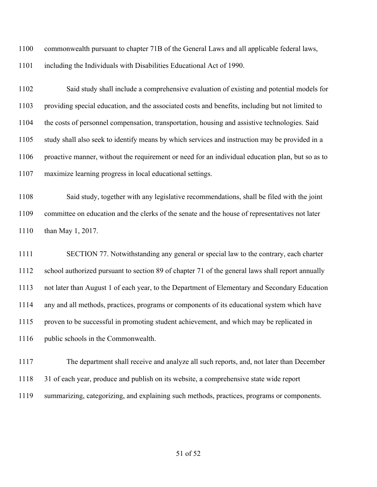commonwealth pursuant to chapter 71B of the General Laws and all applicable federal laws,

including the Individuals with Disabilities Educational Act of 1990.

 Said study shall include a comprehensive evaluation of existing and potential models for providing special education, and the associated costs and benefits, including but not limited to the costs of personnel compensation, transportation, housing and assistive technologies. Said study shall also seek to identify means by which services and instruction may be provided in a proactive manner, without the requirement or need for an individual education plan, but so as to maximize learning progress in local educational settings.

 Said study, together with any legislative recommendations, shall be filed with the joint committee on education and the clerks of the senate and the house of representatives not later than May 1, 2017.

 SECTION 77. Notwithstanding any general or special law to the contrary, each charter school authorized pursuant to section 89 of chapter 71 of the general laws shall report annually not later than August 1 of each year, to the Department of Elementary and Secondary Education any and all methods, practices, programs or components of its educational system which have proven to be successful in promoting student achievement, and which may be replicated in public schools in the Commonwealth.

 The department shall receive and analyze all such reports, and, not later than December 31 of each year, produce and publish on its website, a comprehensive state wide report summarizing, categorizing, and explaining such methods, practices, programs or components.